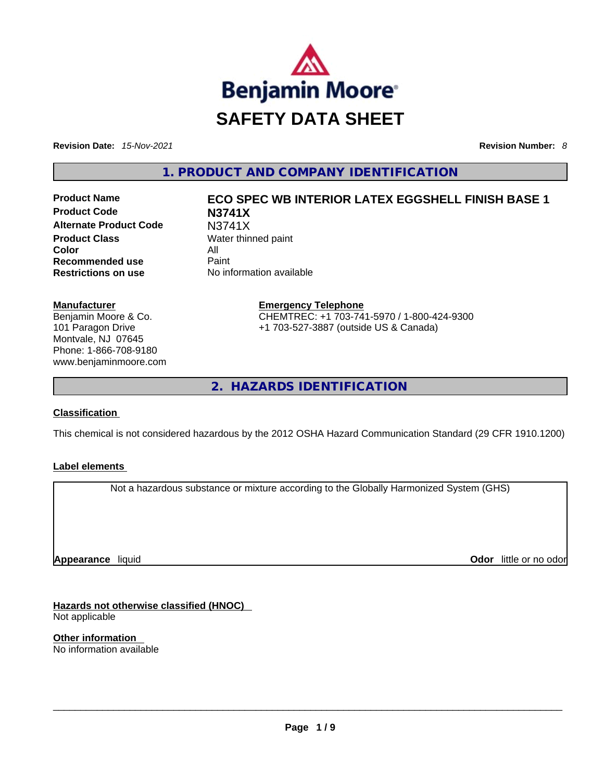

**Revision Date:** *15-Nov-2021* **Revision Number:** *8*

**1. PRODUCT AND COMPANY IDENTIFICATION** 

**Product Code N3741X Alternate Product Code** N3741X **Product Class Water thinned paint Color** All **Recommended use Paint Restrictions on use** No information available

# **Manufacturer**

Benjamin Moore & Co. 101 Paragon Drive Montvale, NJ 07645 Phone: 1-866-708-9180 www.benjaminmoore.com

# **Product Name ECO SPEC WB INTERIOR LATEX EGGSHELL FINISH BASE 1**

**Emergency Telephone** CHEMTREC: +1 703-741-5970 / 1-800-424-9300 +1 703-527-3887 (outside US & Canada)

**2. HAZARDS IDENTIFICATION** 

# **Classification**

This chemical is not considered hazardous by the 2012 OSHA Hazard Communication Standard (29 CFR 1910.1200)

#### **Label elements**

Not a hazardous substance or mixture according to the Globally Harmonized System (GHS)

**Appearance** liquid

**Odor** little or no odor

**Hazards not otherwise classified (HNOC)**  Not applicable

**Other information**  No information available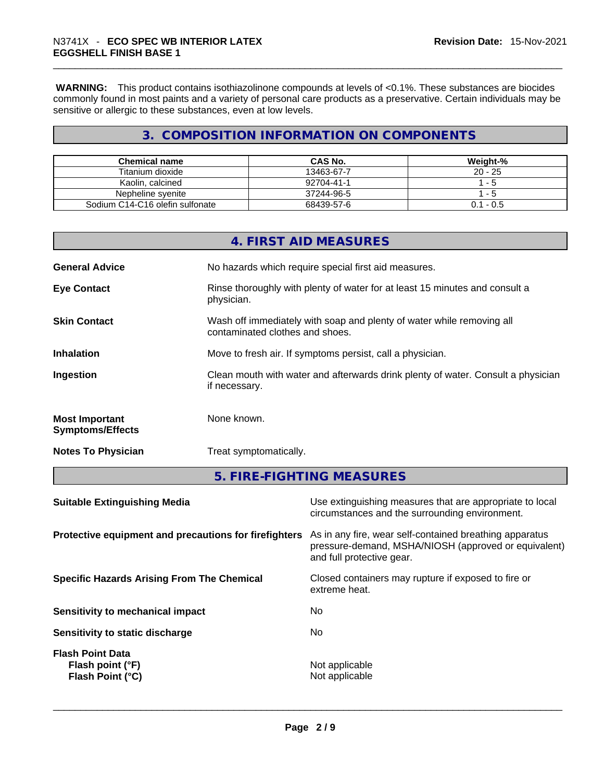**WARNING:** This product contains isothiazolinone compounds at levels of <0.1%. These substances are biocides commonly found in most paints and a variety of personal care products as a preservative. Certain individuals may be sensitive or allergic to these substances, even at low levels.

# **3. COMPOSITION INFORMATION ON COMPONENTS**

| <b>Chemical name</b>            | CAS No.    | Weight-%    |
|---------------------------------|------------|-------------|
| Titanium dioxide                | 13463-67-7 | $20 - 25$   |
| Kaolin, calcined                | 92704-41-1 | -5          |
| Nepheline svenite               | 37244-96-5 | - 5         |
| Sodium C14-C16 olefin sulfonate | 68439-57-6 | $0.1 - 0.5$ |

|                                                  | 4. FIRST AID MEASURES                                                                                    |
|--------------------------------------------------|----------------------------------------------------------------------------------------------------------|
| <b>General Advice</b>                            | No hazards which require special first aid measures.                                                     |
| <b>Eye Contact</b>                               | Rinse thoroughly with plenty of water for at least 15 minutes and consult a<br>physician.                |
| <b>Skin Contact</b>                              | Wash off immediately with soap and plenty of water while removing all<br>contaminated clothes and shoes. |
| <b>Inhalation</b>                                | Move to fresh air. If symptoms persist, call a physician.                                                |
| Ingestion                                        | Clean mouth with water and afterwards drink plenty of water. Consult a physician<br>if necessary.        |
| <b>Most Important</b><br><b>Symptoms/Effects</b> | None known.                                                                                              |
| <b>Notes To Physician</b>                        | Treat symptomatically.                                                                                   |

**5. FIRE-FIGHTING MEASURES** 

| <b>Suitable Extinguishing Media</b><br>circumstances and the surrounding environment.                                                                                                                 | Use extinguishing measures that are appropriate to local |
|-------------------------------------------------------------------------------------------------------------------------------------------------------------------------------------------------------|----------------------------------------------------------|
| Protective equipment and precautions for firefighters<br>As in any fire, wear self-contained breathing apparatus<br>pressure-demand, MSHA/NIOSH (approved or equivalent)<br>and full protective gear. |                                                          |
| Closed containers may rupture if exposed to fire or<br><b>Specific Hazards Arising From The Chemical</b><br>extreme heat.                                                                             |                                                          |
| No.<br>Sensitivity to mechanical impact                                                                                                                                                               |                                                          |
| No.<br>Sensitivity to static discharge                                                                                                                                                                |                                                          |
| <b>Flash Point Data</b><br>Not applicable<br>Flash point (°F)<br>Not applicable<br>Flash Point (°C)                                                                                                   |                                                          |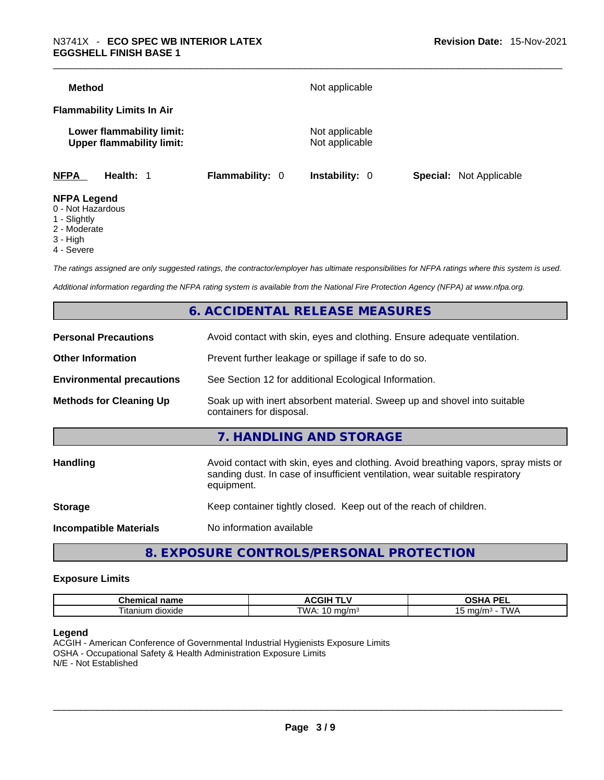| Method             |                                                               |                 | Not applicable                   |                                |
|--------------------|---------------------------------------------------------------|-----------------|----------------------------------|--------------------------------|
|                    | <b>Flammability Limits In Air</b>                             |                 |                                  |                                |
|                    | Lower flammability limit:<br><b>Upper flammability limit:</b> |                 | Not applicable<br>Not applicable |                                |
| <b>NFPA</b>        | Health: 1                                                     | Flammability: 0 | <b>Instability: 0</b>            | <b>Special:</b> Not Applicable |
| <b>NFPA Legend</b> |                                                               |                 |                                  |                                |

#### 0 - Not Hazardous

- 1 Slightly
- 2 Moderate
- 3 High
- 4 Severe
- 

*The ratings assigned are only suggested ratings, the contractor/employer has ultimate responsibilities for NFPA ratings where this system is used.* 

*Additional information regarding the NFPA rating system is available from the National Fire Protection Agency (NFPA) at www.nfpa.org.* 

# **6. ACCIDENTAL RELEASE MEASURES**

| <b>Personal Precautions</b>      | Avoid contact with skin, eyes and clothing. Ensure adequate ventilation.                                                                                                         |
|----------------------------------|----------------------------------------------------------------------------------------------------------------------------------------------------------------------------------|
| <b>Other Information</b>         | Prevent further leakage or spillage if safe to do so.                                                                                                                            |
| <b>Environmental precautions</b> | See Section 12 for additional Ecological Information.                                                                                                                            |
| <b>Methods for Cleaning Up</b>   | Soak up with inert absorbent material. Sweep up and shovel into suitable<br>containers for disposal.                                                                             |
|                                  | 7. HANDLING AND STORAGE                                                                                                                                                          |
| Handling                         | Avoid contact with skin, eyes and clothing. Avoid breathing vapors, spray mists or<br>sanding dust. In case of insufficient ventilation, wear suitable respiratory<br>equipment. |
| <b>Storage</b>                   | Keep container tightly closed. Keep out of the reach of children.                                                                                                                |
| <b>Incompatible Materials</b>    | No information available                                                                                                                                                         |
|                                  |                                                                                                                                                                                  |

# **8. EXPOSURE CONTROLS/PERSONAL PROTECTION**

#### **Exposure Limits**

| Chemical<br>name               | -----<br>-- -<br>$\mathbf{v}$<br> | <b>DEI</b><br>$\mathbf{r}$<br>-- |
|--------------------------------|-----------------------------------|----------------------------------|
| $\sim$<br>, itanium<br>dioxide | TWA.<br>ma/m∼<br>◡                | ™∆M<br>ma/m <sup>3</sup>         |

#### **Legend**

ACGIH - American Conference of Governmental Industrial Hygienists Exposure Limits OSHA - Occupational Safety & Health Administration Exposure Limits N/E - Not Established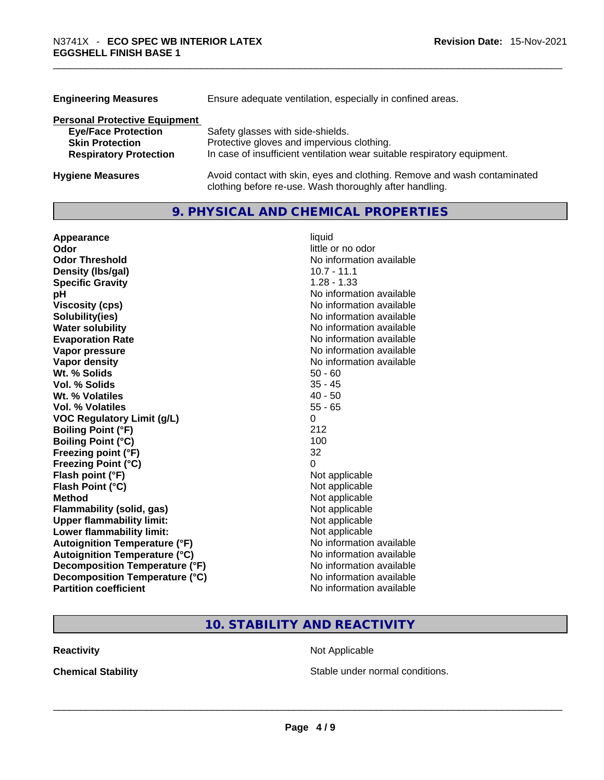| <b>Engineering Measures</b>          | Ensure adequate ventilation, especially in confined areas.                                                                          |
|--------------------------------------|-------------------------------------------------------------------------------------------------------------------------------------|
| <b>Personal Protective Equipment</b> |                                                                                                                                     |
| <b>Eye/Face Protection</b>           | Safety glasses with side-shields.                                                                                                   |
| <b>Skin Protection</b>               | Protective gloves and impervious clothing.                                                                                          |
| <b>Respiratory Protection</b>        | In case of insufficient ventilation wear suitable respiratory equipment.                                                            |
| <b>Hygiene Measures</b>              | Avoid contact with skin, eyes and clothing. Remove and wash contaminated<br>clothing before re-use. Wash thoroughly after handling. |

### **9. PHYSICAL AND CHEMICAL PROPERTIES**

| Appearance                           | liquid                   |
|--------------------------------------|--------------------------|
| Odor                                 | little or no odor        |
| <b>Odor Threshold</b>                | No information available |
| Density (Ibs/gal)                    | $10.7 - 11.1$            |
| <b>Specific Gravity</b>              | $1.28 - 1.33$            |
| рH                                   | No information available |
| <b>Viscosity (cps)</b>               | No information available |
| Solubility(ies)                      | No information available |
| <b>Water solubility</b>              | No information available |
| <b>Evaporation Rate</b>              | No information available |
| Vapor pressure                       | No information available |
| Vapor density                        | No information available |
| Wt. % Solids                         | $50 - 60$                |
| Vol. % Solids                        | $35 - 45$                |
| Wt. % Volatiles                      | $40 - 50$                |
| Vol. % Volatiles                     | $55 - 65$                |
| <b>VOC Regulatory Limit (g/L)</b>    | 0                        |
| <b>Boiling Point (°F)</b>            | 212                      |
| <b>Boiling Point (°C)</b>            | 100                      |
| Freezing point (°F)                  | 32                       |
| <b>Freezing Point (°C)</b>           | 0                        |
| Flash point (°F)                     | Not applicable           |
| Flash Point (°C)                     | Not applicable           |
| <b>Method</b>                        | Not applicable           |
| <b>Flammability (solid, gas)</b>     | Not applicable           |
| <b>Upper flammability limit:</b>     | Not applicable           |
| <b>Lower flammability limit:</b>     | Not applicable           |
| <b>Autoignition Temperature (°F)</b> | No information available |
| <b>Autoignition Temperature (°C)</b> | No information available |
| Decomposition Temperature (°F)       | No information available |
| Decomposition Temperature (°C)       | No information available |
| <b>Partition coefficient</b>         | No information available |

# **10. STABILITY AND REACTIVITY**

**Reactivity Not Applicable Not Applicable** 

**Chemical Stability Stable under normal conditions. Chemical Stability Stable under normal conditions. Chemical Stability Chemical Stability Chemical Stability Chemical Stability Chemical Stability Chemic**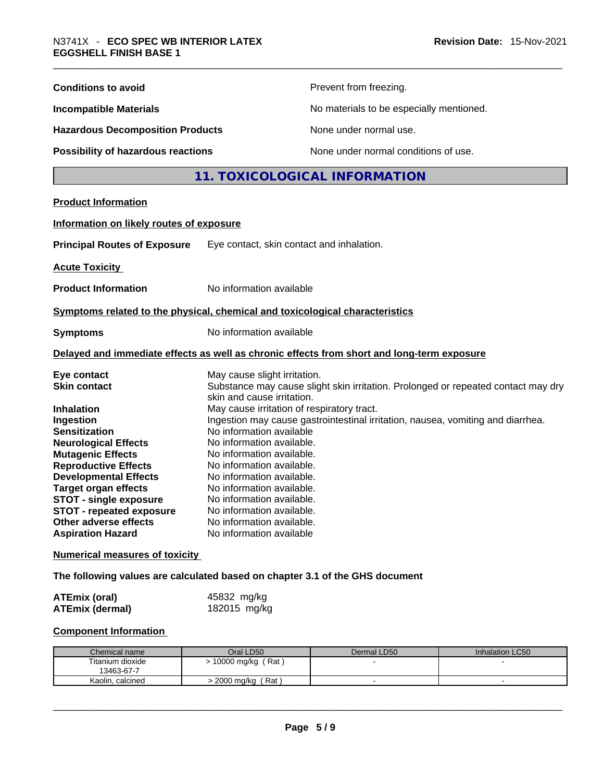| <b>Conditions to avoid</b>                                                                                                                                                                                                                                                                             |                                                                                                                                                                                                                                                                                              | Prevent from freezing.                                                                                                                                               |                 |
|--------------------------------------------------------------------------------------------------------------------------------------------------------------------------------------------------------------------------------------------------------------------------------------------------------|----------------------------------------------------------------------------------------------------------------------------------------------------------------------------------------------------------------------------------------------------------------------------------------------|----------------------------------------------------------------------------------------------------------------------------------------------------------------------|-----------------|
| <b>Incompatible Materials</b>                                                                                                                                                                                                                                                                          |                                                                                                                                                                                                                                                                                              | No materials to be especially mentioned.                                                                                                                             |                 |
| <b>Hazardous Decomposition Products</b>                                                                                                                                                                                                                                                                |                                                                                                                                                                                                                                                                                              | None under normal use.                                                                                                                                               |                 |
| Possibility of hazardous reactions                                                                                                                                                                                                                                                                     |                                                                                                                                                                                                                                                                                              | None under normal conditions of use.                                                                                                                                 |                 |
|                                                                                                                                                                                                                                                                                                        |                                                                                                                                                                                                                                                                                              | 11. TOXICOLOGICAL INFORMATION                                                                                                                                        |                 |
| <b>Product Information</b>                                                                                                                                                                                                                                                                             |                                                                                                                                                                                                                                                                                              |                                                                                                                                                                      |                 |
| Information on likely routes of exposure                                                                                                                                                                                                                                                               |                                                                                                                                                                                                                                                                                              |                                                                                                                                                                      |                 |
| <b>Principal Routes of Exposure</b>                                                                                                                                                                                                                                                                    | Eye contact, skin contact and inhalation.                                                                                                                                                                                                                                                    |                                                                                                                                                                      |                 |
| <b>Acute Toxicity</b>                                                                                                                                                                                                                                                                                  |                                                                                                                                                                                                                                                                                              |                                                                                                                                                                      |                 |
| <b>Product Information</b>                                                                                                                                                                                                                                                                             | No information available                                                                                                                                                                                                                                                                     |                                                                                                                                                                      |                 |
| Symptoms related to the physical, chemical and toxicological characteristics                                                                                                                                                                                                                           |                                                                                                                                                                                                                                                                                              |                                                                                                                                                                      |                 |
| <b>Symptoms</b>                                                                                                                                                                                                                                                                                        | No information available                                                                                                                                                                                                                                                                     |                                                                                                                                                                      |                 |
|                                                                                                                                                                                                                                                                                                        |                                                                                                                                                                                                                                                                                              | Delayed and immediate effects as well as chronic effects from short and long-term exposure                                                                           |                 |
| Eye contact<br><b>Skin contact</b><br><b>Inhalation</b><br>Ingestion                                                                                                                                                                                                                                   | May cause slight irritation.<br>skin and cause irritation.<br>May cause irritation of respiratory tract.                                                                                                                                                                                     | Substance may cause slight skin irritation. Prolonged or repeated contact may dry<br>Ingestion may cause gastrointestinal irritation, nausea, vomiting and diarrhea. |                 |
| <b>Sensitization</b><br><b>Neurological Effects</b><br><b>Mutagenic Effects</b><br><b>Reproductive Effects</b><br><b>Developmental Effects</b><br><b>Target organ effects</b><br><b>STOT - single exposure</b><br><b>STOT - repeated exposure</b><br>Other adverse effects<br><b>Aspiration Hazard</b> | No information available<br>No information available.<br>No information available.<br>No information available.<br>No information available.<br>No information available.<br>No information available.<br>No information available.<br>No information available.<br>No information available |                                                                                                                                                                      |                 |
| <b>Numerical measures of toxicity</b>                                                                                                                                                                                                                                                                  |                                                                                                                                                                                                                                                                                              |                                                                                                                                                                      |                 |
| The following values are calculated based on chapter 3.1 of the GHS document                                                                                                                                                                                                                           |                                                                                                                                                                                                                                                                                              |                                                                                                                                                                      |                 |
| <b>ATEmix (oral)</b><br><b>ATEmix (dermal)</b>                                                                                                                                                                                                                                                         | 45832 mg/kg<br>182015 mg/kg                                                                                                                                                                                                                                                                  |                                                                                                                                                                      |                 |
| <b>Component Information</b>                                                                                                                                                                                                                                                                           |                                                                                                                                                                                                                                                                                              |                                                                                                                                                                      |                 |
| Chemical name<br>Titanium dioxide<br>13463-67-7                                                                                                                                                                                                                                                        | Oral LD50<br>> 10000 mg/kg (Rat)                                                                                                                                                                                                                                                             | Dermal LD50                                                                                                                                                          | Inhalation LC50 |
| Kaolin, calcined                                                                                                                                                                                                                                                                                       | > 2000 mg/kg (Rat)                                                                                                                                                                                                                                                                           | $\blacksquare$                                                                                                                                                       | $\blacksquare$  |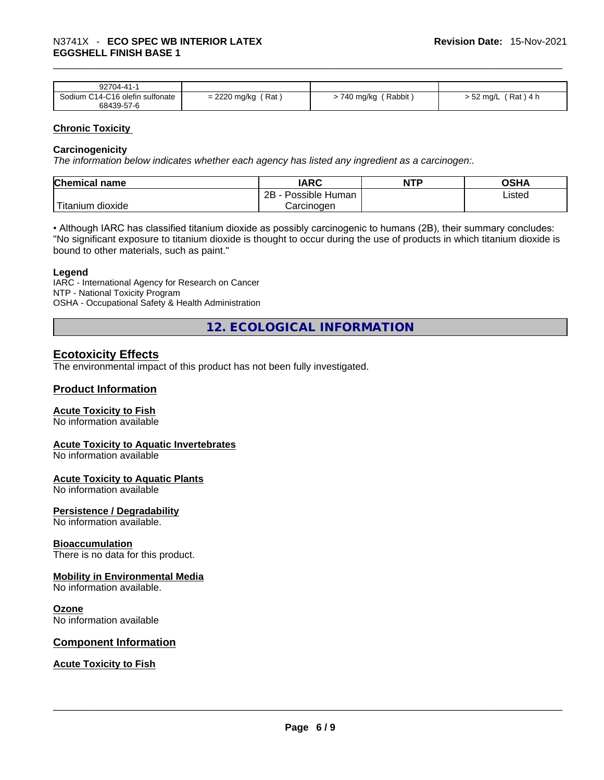#### \_\_\_\_\_\_\_\_\_\_\_\_\_\_\_\_\_\_\_\_\_\_\_\_\_\_\_\_\_\_\_\_\_\_\_\_\_\_\_\_\_\_\_\_\_\_\_\_\_\_\_\_\_\_\_\_\_\_\_\_\_\_\_\_\_\_\_\_\_\_\_\_\_\_\_\_\_\_\_\_\_\_\_\_\_\_\_\_\_\_\_\_\_ N3741X - **ECO SPEC WB INTERIOR LATEX EGGSHELL FINISH BASE 1**

| 92704-41-1                      |                        |                                 |                          |
|---------------------------------|------------------------|---------------------------------|--------------------------|
| Sodium C14-C16 olefin sulfonate | = 2220 mg/kg /<br>ˈRat | Rabbit<br><i>&gt;</i> 740 mg/kg | 52 $mq/L$<br>็ Rat ) 4 h |
| 68439-57-6                      |                        |                                 |                          |

#### **Chronic Toxicity**

#### **Carcinogenicity**

*The information below indicates whether each agency has listed any ingredient as a carcinogen:.* 

| <b>Chemical name</b>    | IARC                 | <b>NTP</b> | OSHA   |
|-------------------------|----------------------|------------|--------|
|                         | 2Β<br>Possible Human |            | Listed |
| ' Titanium J<br>dioxide | Carcinoɑen           |            |        |

• Although IARC has classified titanium dioxide as possibly carcinogenic to humans (2B), their summary concludes: "No significant exposure to titanium dioxide is thought to occur during the use of products in which titanium dioxide is bound to other materials, such as paint."

#### **Legend**

IARC - International Agency for Research on Cancer NTP - National Toxicity Program OSHA - Occupational Safety & Health Administration

**12. ECOLOGICAL INFORMATION** 

# **Ecotoxicity Effects**

The environmental impact of this product has not been fully investigated.

#### **Product Information**

#### **Acute Toxicity to Fish**

No information available

#### **Acute Toxicity to Aquatic Invertebrates**

No information available

#### **Acute Toxicity to Aquatic Plants**

No information available

#### **Persistence / Degradability**

No information available.

#### **Bioaccumulation**

There is no data for this product.

#### **Mobility in Environmental Media**

No information available.

#### **Ozone**

No information available

#### **Component Information**

**Acute Toxicity to Fish**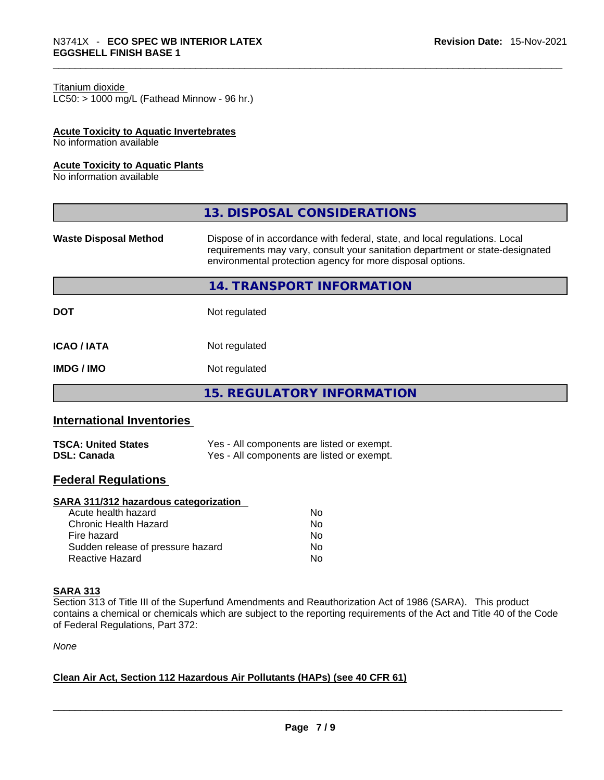#### Titanium dioxide

 $LC50:$  > 1000 mg/L (Fathead Minnow - 96 hr.)

#### **Acute Toxicity to Aquatic Invertebrates**

No information available

#### **Acute Toxicity to Aquatic Plants**

No information available

|                              | 13. DISPOSAL CONSIDERATIONS                                                                                                                                                                                               |
|------------------------------|---------------------------------------------------------------------------------------------------------------------------------------------------------------------------------------------------------------------------|
| <b>Waste Disposal Method</b> | Dispose of in accordance with federal, state, and local regulations. Local<br>requirements may vary, consult your sanitation department or state-designated<br>environmental protection agency for more disposal options. |
|                              | 14. TRANSPORT INFORMATION                                                                                                                                                                                                 |
| <b>DOT</b>                   | Not regulated                                                                                                                                                                                                             |
| <b>ICAO / IATA</b>           | Not regulated                                                                                                                                                                                                             |
| <b>IMDG/IMO</b>              | Not regulated                                                                                                                                                                                                             |
|                              | <b>15. REGULATORY INFORMATION</b>                                                                                                                                                                                         |

# **International Inventories**

| <b>TSCA: United States</b> | Yes - All components are listed or exempt. |
|----------------------------|--------------------------------------------|
| <b>DSL: Canada</b>         | Yes - All components are listed or exempt. |

#### **Federal Regulations**

#### **SARA 311/312 hazardous categorization**

| Acute health hazard               | No |
|-----------------------------------|----|
| Chronic Health Hazard             | Nο |
| Fire hazard                       | Nο |
| Sudden release of pressure hazard | Nο |
| Reactive Hazard                   | Nο |

#### **SARA 313**

Section 313 of Title III of the Superfund Amendments and Reauthorization Act of 1986 (SARA). This product contains a chemical or chemicals which are subject to the reporting requirements of the Act and Title 40 of the Code of Federal Regulations, Part 372:

*None*

#### **Clean Air Act,Section 112 Hazardous Air Pollutants (HAPs) (see 40 CFR 61)**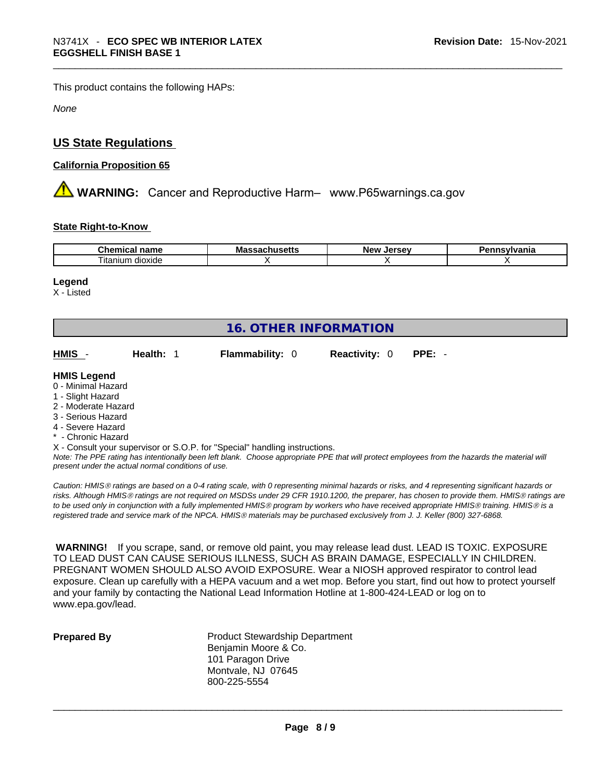This product contains the following HAPs:

*None*

# **US State Regulations**

#### **California Proposition 65**

 **WARNING:** Cancer and Reproductive Harm– www.P65warnings.ca.gov

#### **State Right-to-Know**

| $\sim$<br>- -- -<br>--<br>11<br>юш<br>. .<br>. | м:<br>コレいこ | <b>Lorcov</b><br>Nev<br>. | $       -$<br>нс |
|------------------------------------------------|------------|---------------------------|------------------|
| $- \cdot$<br><br>l itanıum<br>dioxide          |            |                           |                  |

#### **Legend**

X - Listed

| <b>16. OTHER INFORMATION</b>                                                                                                                                                                                |           |                                                                            |                      |                                                                                                                                               |  |  |  |
|-------------------------------------------------------------------------------------------------------------------------------------------------------------------------------------------------------------|-----------|----------------------------------------------------------------------------|----------------------|-----------------------------------------------------------------------------------------------------------------------------------------------|--|--|--|
| HMIS -                                                                                                                                                                                                      | Health: 1 | <b>Flammability: 0</b>                                                     | <b>Reactivity: 0</b> | $PPE: -$                                                                                                                                      |  |  |  |
| <b>HMIS Legend</b><br>0 - Minimal Hazard<br>1 - Slight Hazard<br>2 - Moderate Hazard<br>3 - Serious Hazard<br>4 - Severe Hazard<br>* - Chronic Hazard<br>present under the actual normal conditions of use. |           | X - Consult your supervisor or S.O.P. for "Special" handling instructions. |                      | Note: The PPE rating has intentionally been left blank. Choose appropriate PPE that will protect employees from the hazards the material will |  |  |  |

*Caution: HMISÒ ratings are based on a 0-4 rating scale, with 0 representing minimal hazards or risks, and 4 representing significant hazards or risks. Although HMISÒ ratings are not required on MSDSs under 29 CFR 1910.1200, the preparer, has chosen to provide them. HMISÒ ratings are to be used only in conjunction with a fully implemented HMISÒ program by workers who have received appropriate HMISÒ training. HMISÒ is a registered trade and service mark of the NPCA. HMISÒ materials may be purchased exclusively from J. J. Keller (800) 327-6868.* 

 **WARNING!** If you scrape, sand, or remove old paint, you may release lead dust. LEAD IS TOXIC. EXPOSURE TO LEAD DUST CAN CAUSE SERIOUS ILLNESS, SUCH AS BRAIN DAMAGE, ESPECIALLY IN CHILDREN. PREGNANT WOMEN SHOULD ALSO AVOID EXPOSURE.Wear a NIOSH approved respirator to control lead exposure. Clean up carefully with a HEPA vacuum and a wet mop. Before you start, find out how to protect yourself and your family by contacting the National Lead Information Hotline at 1-800-424-LEAD or log on to www.epa.gov/lead.

**Prepared By Product Stewardship Department** Benjamin Moore & Co. 101 Paragon Drive Montvale, NJ 07645 800-225-5554